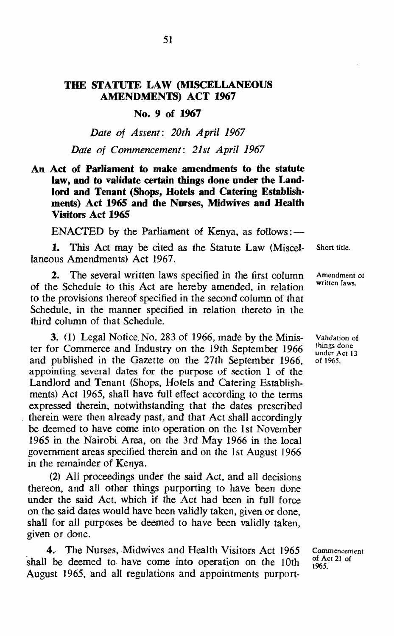### THE STATUTE LAW (MISCELLANEOUS AMENDMENTS) ACT 1967

### No.9 of 1967

*Date of Assent: 20th April 1967 Date of Commencement: 21st April 1967* 

### An Act of Parliament to make amendments to the statute law, and to validate certain things done under the Land· lord and Tenant (Shops, Hotels and Catering Establishments) Act 1965 and the Nurses, Midwives and Health Visitors Act 1965

ENACTED by the Parliament of Kenya, as follows: $-$ 

1. This Act may be cited as the Statute Law (Miscellaneous Amendments) Act 1967.

2. The several written laws specified in the first column of the Schedule to this Act are hereby amended. in relation to the provisions thereof specified in the second column of that Schedule. in the manner specified in relation thereto in the third column of that Schedule.

3. (1) Legal Notice. No. 283 of 1966, made by the Minister for Commerce and Industry on the 19th September 1966 and published in the Gazette on the 27th September 1966. appointing several dates for the purpose of section 1 of the Landlord and Tenant (Shops. Hotels and Catering Establishments) Act 1965, shall have full effect according to the terms expressed therein. notwithstanding that the dates prescribed therein were then already past, and that Act shall accordingly be deemed to have come into operation on the 1st November 1965 in the Nairobi Area. on the 3rd May 1966 in the local government areas specified therein and on the 1st August 1966 in the remainder of Kenya.

(2) All proceedings under the said Act, and all decisions thereon. and all other things purporting to have been done under the said Act. which if the Act had been in full force on the said dates would have been validly taken. given or done, shall for all purposes be deemed to have been validly taken, given or done.

4. The Nurses. Midwives and Health Visitors Act 1965 shall be deemed to have come into operation on the 10th August 1965, and all regulations and appointments purportShort title.

Amendment of written laws.

Validation of things done under Act 13 of 1965.

Commencement of Act 21 of 1965.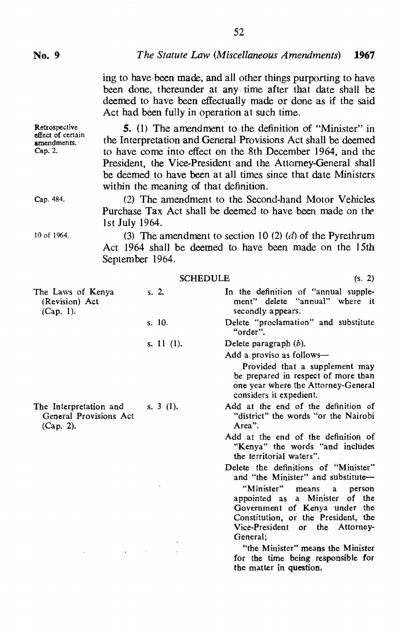Retrospective effect of certain amendments. Cap. 2.

Cap. 484.

10 of 1964.

ing to have been made, and all other things purporting to have been done. thereunder at any, time after that date shall be deemed to have been effectually made or done as if the said Act had been fully in operation at such time.

**5.** (1) The amendment to the definition of "Minister" in the Interpretation and General Provisions Act shall be deemed to have come into effect on the 8th December 1964, and the President, the Vice-President and the Attorney-General shall be deemed to have been at all times since that date Ministers within the meaning of that definition.

(2) The amendment to the Second-hand Motor Vehicles Purchase Tax Act shall be deemed to have been made on the 1st July 1964.

(3) The amendment to section 10 (2) (d) of the Pyrethrum Act 1964 shall be deemed to have been made on the 15th September 1964.

|                                                                  | <b>SCHEDULE</b> | (s. 2)                                                                                                                                  |
|------------------------------------------------------------------|-----------------|-----------------------------------------------------------------------------------------------------------------------------------------|
| The Laws of Kenya<br>(Revision) Act<br>(Cap. 1).                 | S. 2.           | In the definition of "annual supple-<br>ment" delete "annual" where it<br>secondly appears.                                             |
|                                                                  | s. 10.          | Delete "proclamation" and substitute<br>"order".                                                                                        |
|                                                                  | s. $11(1)$ .    | Delete paragraph $(b)$ .<br>Add a proviso as follows—                                                                                   |
|                                                                  |                 | Provided that a supplement may<br>be prepared in respect of more than<br>one year where the Attorney-General<br>considers it expedient. |
| The Interpretation and<br>General Provisions Act<br>$(Cap. 2)$ . | s. $3(1)$ .     | Add at the end of the definition of<br>"district" the words "or the Nairobi"<br>Area".                                                  |
|                                                                  |                 | Add at the end of the definition of<br>"Kenya" the words "and includes"<br>the territorial waters".                                     |
|                                                                  |                 | Delete the definitions of "Minister"<br>and "the Minister" and substitute-                                                              |
|                                                                  |                 | "Minister"<br>means<br>person<br>$\mathbf{a}$<br>appointed as a Minister<br>of the                                                      |
|                                                                  |                 | Government of Kenya under the<br>Constitution, or the President, the<br>Vice-President or the Attorney-<br>General:                     |
|                                                                  |                 | "the Minister" means the Minister<br>for the time being responsible for<br>the matter in question.                                      |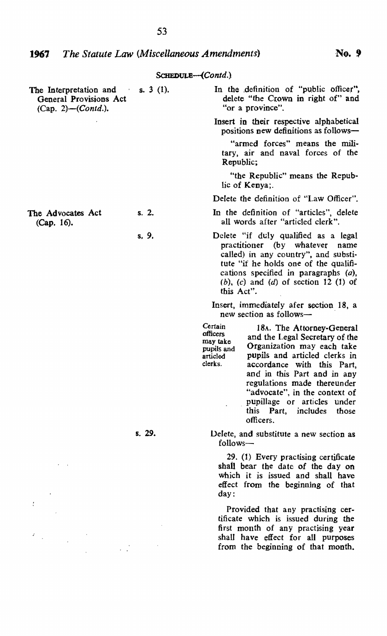S3

| The Interpretation and<br>$\sim$ $\epsilon$<br>General Provisions Act<br>(Cap. 2)- $(Contd.)$ . | s. $3(1)$ . | In the definition of "public officer",<br>delete "the Crown in right of" and<br>"or a province".                                                                                                                                                                                                                                                                                                               |
|-------------------------------------------------------------------------------------------------|-------------|----------------------------------------------------------------------------------------------------------------------------------------------------------------------------------------------------------------------------------------------------------------------------------------------------------------------------------------------------------------------------------------------------------------|
|                                                                                                 |             | Insert in their respective alphabetical<br>positions new definitions as follows-                                                                                                                                                                                                                                                                                                                               |
|                                                                                                 |             | "armed forces" means the mili-<br>tary, air and naval forces of the<br>Republic;                                                                                                                                                                                                                                                                                                                               |
|                                                                                                 |             | "the Republic" means the Repub-<br>lic of Kenya:                                                                                                                                                                                                                                                                                                                                                               |
|                                                                                                 |             | Delete the definition of "Law Officer".                                                                                                                                                                                                                                                                                                                                                                        |
| The Advocates Act<br>(Cap. 16).                                                                 | s. 2.       | In the definition of "articles", delete<br>all words after "articled clerk".                                                                                                                                                                                                                                                                                                                                   |
|                                                                                                 | s. 9.       | Delete "if duly qualified as a legal<br>practitioner (by whatever name<br>called) in any country", and substi-<br>tute "if he holds one of the qualifi-<br>cations specified in paragraphs (a),<br>$(b)$ , $(c)$ and $(d)$ of section 12 (1) of<br>this Act".                                                                                                                                                  |
|                                                                                                 |             | Insert, immediately afer section 18, a<br>new section as follows-                                                                                                                                                                                                                                                                                                                                              |
|                                                                                                 |             | Certain<br>18A. The Attorney-General<br>officers<br>and the Legal Secretary of the<br>may take<br>Organization may each take<br>pupils and<br>pupils and articled clerks in<br>articled<br>clerks.<br>accordance with this Part,<br>and in this Part and in any<br>regulations made thereunder<br>"advocate", in the context of<br>pupillage or articles under<br>this Part,<br>includes<br>those<br>officers. |
|                                                                                                 | s. 29.      | Delete, and substitute a new section as<br>follows—                                                                                                                                                                                                                                                                                                                                                            |
|                                                                                                 |             | 29. (1) Every practising certificate<br>shall bear the date of the day on<br>which it is issued and shall have<br>effect from the beginning of that<br>day:                                                                                                                                                                                                                                                    |
|                                                                                                 |             | Provided that any practising cer-<br>tificate which is issued during the<br>first month of any practising year<br>shall have effect for all purposes<br>from the beginning of that month.                                                                                                                                                                                                                      |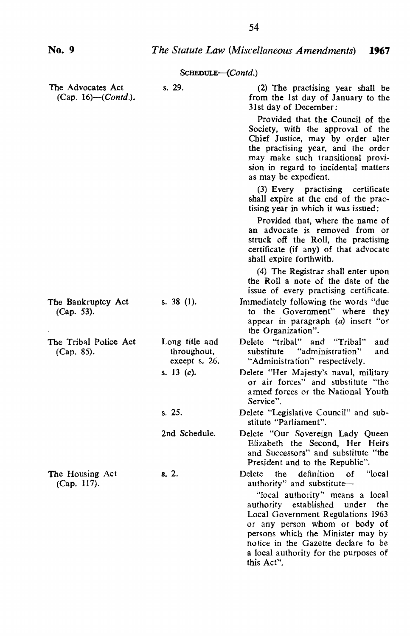|                                                   | SCHEDULE-(Contd.)                              |                                                                                                                                                                                                                                                                                                                                                                |
|---------------------------------------------------|------------------------------------------------|----------------------------------------------------------------------------------------------------------------------------------------------------------------------------------------------------------------------------------------------------------------------------------------------------------------------------------------------------------------|
| The Advocates Act<br>(Cap. 16)–( <i>Contd.</i> ). | s. 29.                                         | (2) The practising year shall be<br>from the 1st day of January to the<br>31st day of December:                                                                                                                                                                                                                                                                |
|                                                   |                                                | Provided that the Council of the<br>Society, with the approval of the<br>Chief Justice, may by order alter<br>the practising year, and the order<br>may make such transitional provi-<br>sion in regard to incidental matters<br>as may be expedient.                                                                                                          |
|                                                   |                                                | (3) Every practising certificate<br>shall expire at the end of the prac-<br>tising year in which it was issued:                                                                                                                                                                                                                                                |
|                                                   |                                                | Provided that, where the name of<br>an advocate is removed from or<br>struck off the Roll, the practising<br>certificate (if any) of that advocate<br>shall expire forthwith.                                                                                                                                                                                  |
|                                                   |                                                | (4) The Registrar shall enter upon<br>the Roll a note of the date of the<br>issue of every practising certificate.                                                                                                                                                                                                                                             |
| The Bankruptcy Act<br>(Cap. 53).                  | s. 38 (1).                                     | Immediately following the words "due<br>to the Government" where they<br>appear in paragraph (a) insert "or<br>the Organization".                                                                                                                                                                                                                              |
| The Tribal Police Act<br>(Cap. 85).               | Long title and<br>throughout,<br>except s. 26. | Delete "tribal"<br>and "Tribal"<br>and<br>"administration"<br>substitute<br>and<br>"Administration" respectively.                                                                                                                                                                                                                                              |
|                                                   | s. 13 $(e)$ .                                  | Delete "Her Majesty's naval, military<br>or air forces" and substitute "the<br>armed forces or the National Youth<br>Service".                                                                                                                                                                                                                                 |
|                                                   | s. 25.                                         | Delete "Legislative Council" and sub-<br>stitute "Parliament".                                                                                                                                                                                                                                                                                                 |
|                                                   | 2nd Schedule.                                  | Delete "Our Sovereign Lady Queen<br>Elizabeth the Second, Her Heirs<br>and Successors" and substitute "the<br>President and to the Republic".                                                                                                                                                                                                                  |
| The Housing Act<br>(Cap. 117).                    | s. 2.                                          | definition<br>ʻlocal<br>Delete<br>the<br>οf<br>authority" and substitute-<br>"local authority" means a local<br>authority established<br>under<br>the<br>Local Government Regulations 1963<br>or any person whom or body of<br>persons which the Minister may by<br>notice in the Gazette declare to be<br>a local authority for the purposes of<br>this Act". |

**No.9** 

# *The Statute Law (Miscellaneous Amendments) 1967*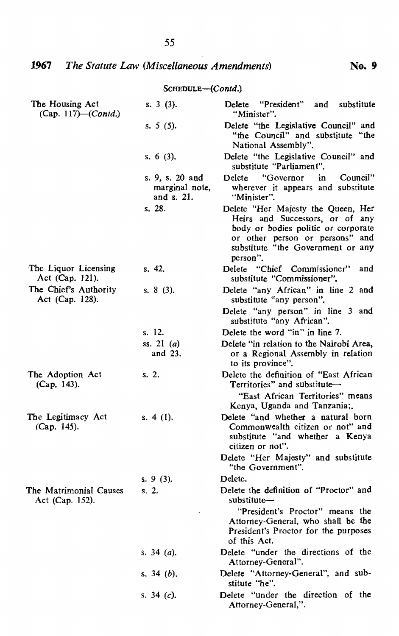# *1967 The Statute* Law *(Miscellaneous Amendments)* **No.9**

| SCHEDULE-(Contd.) |  |
|-------------------|--|
|-------------------|--|

| The Housing Act<br>(Cap. 117)–( <i>Contd.</i> ) | s. $3(3)$ .                                     | Delete "President" and<br>substitute<br>"Minister".                                                                                                                                              |
|-------------------------------------------------|-------------------------------------------------|--------------------------------------------------------------------------------------------------------------------------------------------------------------------------------------------------|
|                                                 | s. 5 $(5)$ .                                    | Delete "the Legislative Council" and<br>"the Council" and substitute "the<br>National Assembly".                                                                                                 |
|                                                 | s. 6 $(3)$ .                                    | Delete "the Legislative Council" and<br>substitute "Parliament".                                                                                                                                 |
|                                                 | s. 9, s. 20 and<br>marginal note,<br>and s. 21. | "Governor"<br>in<br>Council"<br>Delete<br>wherever it appears and substitute<br>"Minister".                                                                                                      |
|                                                 | s. 28.                                          | Delete "Her Majesty the Queen, Her<br>Heirs and Successors, or of any<br>body or bodies politic or corporate<br>or other person or persons" and<br>substitute "the Government or any<br>person". |
| The Liquor Licensing<br>Act (Cap. 121).         | s. 42.                                          | Delete "Chief Commissioner"<br>and<br>substitute "Commissioner".                                                                                                                                 |
| The Chief's Authority<br>Act (Cap. 128).        | s. 8 (3).                                       | Delete "any African" in line 2 and<br>substitute "any person".                                                                                                                                   |
|                                                 |                                                 | Delete "any person" in line 3 and<br>substitute "any African".                                                                                                                                   |
|                                                 | s. 12.                                          | Delete the word "in" in line 7.                                                                                                                                                                  |
|                                                 | ss. 21 $(a)$<br>and 23.                         | Delete "in relation to the Nairobi Area,<br>or a Regional Assembly in relation<br>to its province".                                                                                              |
| The Adoption Act<br>(Cap. 143).                 | s. 2.                                           | Delete the definition of "East African<br>Territories" and substitute-                                                                                                                           |
|                                                 |                                                 | "East African Territories" means<br>Kenya, Uganda and Tanzania;                                                                                                                                  |
| The Legitimacy Act<br>(Cap. 145).               | s. $4(1)$ .                                     | Delete "and whether a natural born<br>Commonwealth citizen or not" and<br>substitute "and whether a Kenya<br>citizen or not".                                                                    |
|                                                 |                                                 | Delete "Her Majesty" and substitute<br>"the Government".                                                                                                                                         |
|                                                 | s. 9(3).                                        | Delete.                                                                                                                                                                                          |
| The Matrimonial Causes<br>Act (Cap. 152).       | s. 2.                                           | Delete the definition of "Proctor" and<br>substitute-<br>"President's Proctor" means the                                                                                                         |
|                                                 |                                                 | Attorney-General, who shall be the<br>President's Proctor for the purposes<br>of this Act.                                                                                                       |
|                                                 | s. 34 ( <i>a</i> ).                             | Delete "under the directions of the<br>Attorney-General".                                                                                                                                        |
|                                                 | s. 34 $(b)$ .                                   | Delete "Attorney-General", and sub-<br>stitute "he".                                                                                                                                             |
|                                                 | s. 34 $(c)$ .                                   | Delete "under the direction of the<br>Attorney-General,".                                                                                                                                        |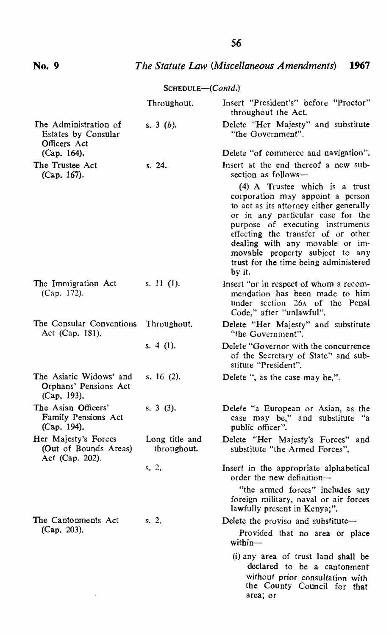# **No.9** *The Statute Law (Miscellaneous Amendments) 1967*

|                                                                  | $S$ CHEDULE— $(Contd.)$       |                                                                                                                                                                                                                                                                                                                                                       |
|------------------------------------------------------------------|-------------------------------|-------------------------------------------------------------------------------------------------------------------------------------------------------------------------------------------------------------------------------------------------------------------------------------------------------------------------------------------------------|
|                                                                  | Throughout.                   | Insert "President's" before "Proctor"<br>throughout the Act.                                                                                                                                                                                                                                                                                          |
| The Administration of<br>Estates by Consular<br>Officers Act     | s. $3(b)$ .                   | Delete "Her Majesty" and substitute<br>"the Government".                                                                                                                                                                                                                                                                                              |
| $(Cap. 164)$ .                                                   |                               | Delete "of commerce and navigation".                                                                                                                                                                                                                                                                                                                  |
| The Trustee Act<br>(Cap. 167).                                   | s. 24.                        | Insert at the end thereof a new sub-<br>section as follows-                                                                                                                                                                                                                                                                                           |
|                                                                  |                               | (4) A Trustee which is a trust<br>corporation may appoint a person<br>to act as its attorney either generally<br>or in any particular case for the<br>purpose of executing instruments<br>effecting the transfer of or other<br>dealing with any movable or im-<br>movable property subject to any<br>trust for the time being administered<br>by it. |
| The Immigration Act<br>(Cap. 172).                               | s. 11 (1).                    | Insert "or in respect of whom a recom-<br>mendation has been made to him<br>under section 26A of the Penal<br>Code," after "unlawful".                                                                                                                                                                                                                |
| The Consular Conventions<br>Act (Cap. 181).                      | Throughout.                   | Delete "Her Majesty" and substitute<br>"the Government".                                                                                                                                                                                                                                                                                              |
|                                                                  | s. 4 $(1)$ .                  | Delete "Governor with the concurrence<br>of the Secretary of State" and sub-<br>stitute "President".                                                                                                                                                                                                                                                  |
| The Asiatic Widows' and<br>Orphans' Pensions Act<br>(Cap. 193).  | s. 16 $(2)$ .                 | Delete ", as the case may be,".                                                                                                                                                                                                                                                                                                                       |
| The Asian Officers'<br>Family Pensions Act<br>(Cap. 194).        | $s. 3(3)$ .                   | Delete "a European or Asian, as the<br>case may be," and substitute "a<br>public officer".                                                                                                                                                                                                                                                            |
| Her Majesty's Forces<br>(Out of Bounds Areas)<br>Act (Cap. 202). | Long title and<br>throughout. | Delete "Her Majesty's Forces" and<br>substitute "the Armed Forces".                                                                                                                                                                                                                                                                                   |
|                                                                  | s, 2.                         | Insert in the appropriate alphabetical<br>order the new definition-                                                                                                                                                                                                                                                                                   |
|                                                                  |                               | "the armed forces" includes any<br>foreign military, naval or air forces<br>lawfully present in Kenya;".                                                                                                                                                                                                                                              |
| The Cantonments Act                                              | s. 2.                         | Delete the proviso and substitute-                                                                                                                                                                                                                                                                                                                    |
| $(Cap. 203)$ .                                                   |                               | Provided that no area or place<br>within—                                                                                                                                                                                                                                                                                                             |
|                                                                  |                               | (i) any area of trust land shall be<br>declared to be a cantonment<br>without prior consultation with<br>the County Council for that<br>area; or                                                                                                                                                                                                      |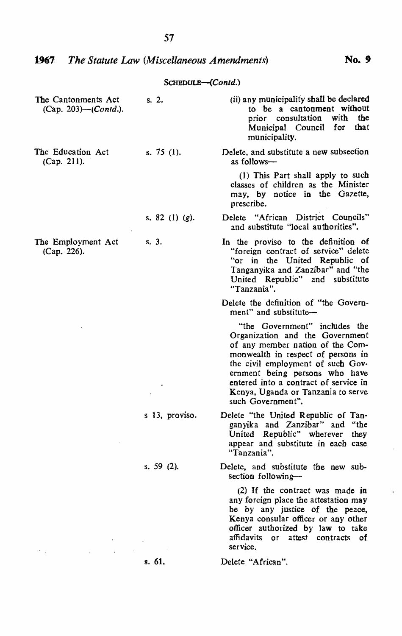| SCHEDULE-(Contd.) |  |
|-------------------|--|
|-------------------|--|

| The Cantonments Act<br>(Cap. 203)—(Contd.). | s. 2.             | (ii) any municipality shall be declared<br>to be a cantonment without<br>with<br>the<br>prior consultation<br>Municipal Council for<br>that<br>municipality.                                                                                                                                                          |
|---------------------------------------------|-------------------|-----------------------------------------------------------------------------------------------------------------------------------------------------------------------------------------------------------------------------------------------------------------------------------------------------------------------|
| The Education Act<br>(Cap. 211).            | s. 75 $(1)$ .     | Delete, and substitute a new subsection<br>as follows—                                                                                                                                                                                                                                                                |
|                                             |                   | (1) This Part shall apply to such<br>classes of children as the Minister<br>may, by notice in the Gazette,<br>prescribe.                                                                                                                                                                                              |
|                                             | s. 82 (1) $(g)$ . | Delete "African District Councils"<br>and substitute "local authorities".                                                                                                                                                                                                                                             |
| The Employment Act<br>(Cap. 226).           | s. 3.             | In the proviso to the definition of<br>"foreign contract of service" delete<br>"or in the United Republic of<br>Tanganyika and Zanzibar" and "the<br>United Republic" and substitute<br>"Tanzania".                                                                                                                   |
|                                             |                   | Delete the definition of "the Govern-<br>ment" and substitute-                                                                                                                                                                                                                                                        |
|                                             |                   | "the Government" includes the<br>Organization and the Government<br>of any member nation of the Com-<br>monwealth in respect of persons in<br>the civil employment of such Gov-<br>ernment being persons who have<br>entered into a contract of service in<br>Kenya, Uganda or Tanzania to serve<br>such Government". |
|                                             | s 13, proviso.    | Delete "the United Republic of Tan-<br>ganyika and Zanzibar" and "the<br>United Republic" wherever they<br>appear and substitute in each case<br>"Tanzania".                                                                                                                                                          |
|                                             | s. 59 $(2)$ .     | Delete, and substitute the new sub-<br>section following-                                                                                                                                                                                                                                                             |
|                                             |                   | (2) If the contract was made in<br>any foreign place the attestation may<br>be by any justice of the peace,<br>Kenya consular officer or any other<br>officer authorized by law to take<br>affidavits or attest contracts of<br>service.                                                                              |
|                                             | s. 61.            | Delete "African".                                                                                                                                                                                                                                                                                                     |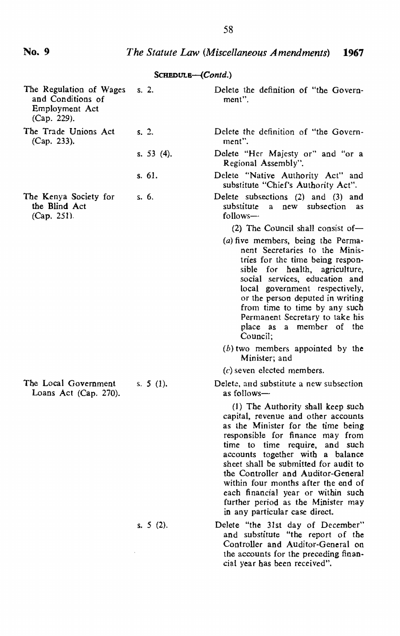#### *The Statute Law (Miscellaneous Amendments) 1967*

#### The Regulation of Wages and Conditions of Employment Act (Cap, 229). The Trade Unions Act (Cap. 233). The Kenya Society for the Blind Act (Cap. 251), The Local Government Loans Act (Cap. 270). SCHEDULB-(Contd.) s. 2. Delete the definition of "the Governs. 2. s. 53 (4). s. 61. s. 6. s. 5 (I). s. 5 (2). ment", Delete the definition of "the Government", Delete "Her Majesty or" and "or a Regional Assembly", Delete "Native Authority Act" and substitute "Chief's Authority Act". Delete subsections (2) and (3) and substitute a new subsection as  $follows (2)$  The Council shall consist of-(a) five members, being the Permanent Secretaries to the Ministries for the time being responsible for health, agriculture, social services, education and local government respectively, or the person deputed in writing from time to time by any such Permanent Secretary to take his place as a member of the Council;  $(b)$  two members appointed by the Minister; and (c) seven elected members. Delete, and substitute a new subsection as follows- (1) The Authority shall keep such capital, revenue and other accounts as the Minister for the time being responsible for finance may from time to time require, and such accounts together with a balance sheet shall be submitted for audit to the Controller and Auditor-General within four months after the end of each financial year or within such further period as the Minister may in any particular case direct. Delete "the 31st day of December" and substitute "the report of the Controller and AUditor-General on

the accounts for the preceding financial year has been received".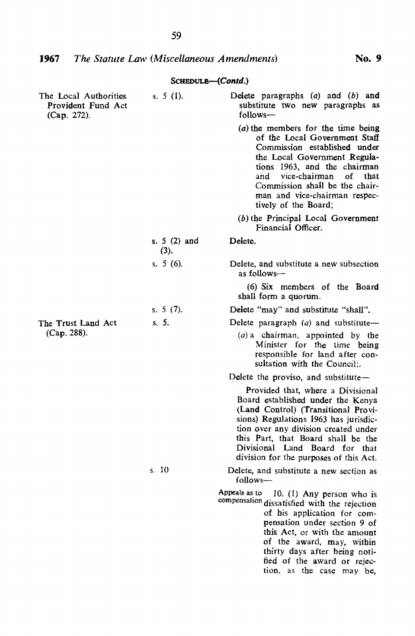| The Local Authorities<br>Provident Fund Act<br>(Cap. 272). | s. $5(1)$ .           | Delete paragraphs (a) and (b) and<br>substitute two new paragraphs as<br>follows-                                                                                                                                                                                                                                   |
|------------------------------------------------------------|-----------------------|---------------------------------------------------------------------------------------------------------------------------------------------------------------------------------------------------------------------------------------------------------------------------------------------------------------------|
|                                                            |                       | (a) the members for the time being<br>of the Local Government Staff<br>Commission established under<br>the Local Government Regula-<br>tions 1963, and the chairman<br>vice-chairman<br>οf<br>and<br>that<br>Commission shall be the chair-<br>man and vice-chairman respec-<br>tively of the Board;                |
|                                                            |                       | $(b)$ the Principal Local Government<br>Financial Officer.                                                                                                                                                                                                                                                          |
|                                                            | s. $5(2)$ and<br>(3). | Delete.                                                                                                                                                                                                                                                                                                             |
|                                                            | s. 5 (6).             | Delete, and substitute a new subsection<br>as follows—                                                                                                                                                                                                                                                              |
|                                                            |                       | (6) Six members of the Board<br>shall form a quorum.                                                                                                                                                                                                                                                                |
|                                                            | s. $5(7)$ .           | Delete "may" and substitute "shall".                                                                                                                                                                                                                                                                                |
| The Trust Land Act                                         | S. 5.                 | Delete paragraph $(a)$ and substitute-                                                                                                                                                                                                                                                                              |
| (Cap. 288).                                                |                       | $(a)$ a chairman, appointed by the<br>Minister for the time being<br>responsible for land after con-<br>sultation with the Council;.                                                                                                                                                                                |
|                                                            |                       | Delete the proviso, and substitute—                                                                                                                                                                                                                                                                                 |
|                                                            |                       | Provided that, where a Divisional<br>Board established under the Kenya<br>(Land Control) (Transitional Provi-<br>sions) Regulations 1963 has jurisdic-<br>tion over any division created under<br>this Part, that Board shall be the<br>Divisional Land Board for that<br>division for the purposes of this Act.    |
|                                                            | s.10                  | Delete, and substitute a new section as<br>follows-                                                                                                                                                                                                                                                                 |
|                                                            |                       | Appeals as to<br>10. (1) Any person who is<br>compensation dissatisfied with the rejection<br>of his application for com-<br>pensation under section 9 of<br>this Act, or with the amount<br>of the award, may, within<br>thirty days after heing noti-<br>fied of the award or rejec-<br>tion, as the case may be, |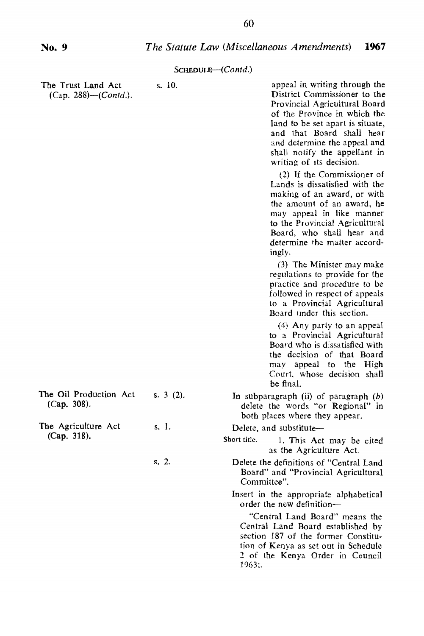| The Trust Land Act<br>(Cap. 288)—( <i>Contd.</i> ). | s. 10.      | appeal in writing through the<br>District Commissioner to the<br>Provincial Agricultural Board<br>of the Province in which the<br>land to be set apart is situate,<br>and that Board shall hear<br>and determine the appeal and<br>shall notify the appellant in<br>writing of its decision. |
|-----------------------------------------------------|-------------|----------------------------------------------------------------------------------------------------------------------------------------------------------------------------------------------------------------------------------------------------------------------------------------------|
|                                                     |             | (2) If the Commissioner of<br>Lands is dissatisfied with the<br>making of an award, or with<br>the amount of an award, he<br>may appeal in like manner<br>to the Provincial Agricultural<br>Board, who shall hear and<br>determine the matter accord-<br>ingly.                              |
|                                                     |             | (3) The Minister may make<br>regulations to provide for the<br>practice and procedure to be<br>followed in respect of appeals<br>to a Provincial Agricultural<br>Board under this section.                                                                                                   |
|                                                     |             | (4) Any party to an appeal<br>to a Provincial Agricultural<br>Board who is dissatisfied with<br>the decision of that Board<br>may appeal to the High<br>Court, whose decision shall<br>be final.                                                                                             |
| The Oil Production Act<br>(Cap. 308).               | s. $3(2)$ . | In subparagraph (ii) of paragraph (b)<br>delete the words "or Regional" in<br>both places where they appear.                                                                                                                                                                                 |
| The Agriculture Act                                 | s. 1.       | Delete, and substitute-                                                                                                                                                                                                                                                                      |
| (Cap. 318).                                         |             | Short title.<br>1. This Act may be cited<br>as the Agriculture Act.                                                                                                                                                                                                                          |
|                                                     | s. 2.       | Delete the definitions of "Central Land<br>Board" and "Provincial Agricultural<br>Committee".                                                                                                                                                                                                |
|                                                     |             | Insert in the appropriate alphabetical<br>order the new definition-                                                                                                                                                                                                                          |
|                                                     |             | "Central Land Board" means the<br>Central Land Board established by<br>section 187 of the former Constitu-<br>tion of Kenya as set out in Schedule<br>2 of the Kenya Order in Council<br>1963:                                                                                               |
|                                                     |             |                                                                                                                                                                                                                                                                                              |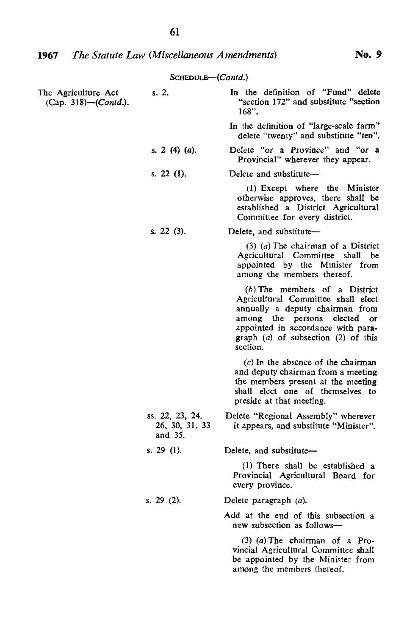| The Agriculture Act<br>(Cap. 318)-(Contd.). | s. 2.                                        | In the definition of "Fund" delete<br>"section 172" and substitute "section<br>$168"$ .                                                                                                                                                         |
|---------------------------------------------|----------------------------------------------|-------------------------------------------------------------------------------------------------------------------------------------------------------------------------------------------------------------------------------------------------|
|                                             |                                              | In the definition of "large-scale farm"<br>delete "twenty" and substitute "ten".                                                                                                                                                                |
|                                             | s. 2 (4) (a).                                | Delete "or a Province" and "or a<br>Provincial" wherever they appear.                                                                                                                                                                           |
|                                             | s. 22 $(1)$ .                                | Delete and substitute-                                                                                                                                                                                                                          |
|                                             |                                              | $(1)$ Except where the Minister<br>otherwise approves, there shall be<br>established a District Agricultural<br>Committee for every district.                                                                                                   |
|                                             | s. 22 (3).                                   | Delete, and substitute-                                                                                                                                                                                                                         |
|                                             |                                              | $(3)$ (a) The chairman of a District<br>Agricultural Committee shall be<br>appointed by the Minister from<br>among the members thereof.                                                                                                         |
|                                             |                                              | $(b)$ The members of a District<br>Agricultural Committee shall elect<br>annually a deputy chairman from<br>among the persons elected<br><b>OF</b><br>appointed in accordance with para-<br>graph $(a)$ of subsection $(2)$ of this<br>section. |
|                                             |                                              | $(c)$ In the absence of the chairman<br>and deputy chairman from a meeting<br>the members present at the meeting<br>shall elect one of themselves to<br>preside at that meeting.                                                                |
|                                             | ss. 22, 23, 24,<br>26, 30, 31, 33<br>and 35. | Delete "Regional Assembly" wherever<br>it appears, and substitute "Minister".                                                                                                                                                                   |
|                                             | s. 29 $(1)$ .                                | Delete, and substitute-                                                                                                                                                                                                                         |
|                                             |                                              | (1) There shall be established a<br>Provincial Agricultural Board for<br>every province.                                                                                                                                                        |
|                                             | s. $29(2)$ .                                 | Delete paragraph $(a)$ .                                                                                                                                                                                                                        |
|                                             |                                              | Add at the end of this subsection a<br>new subsection as follows-                                                                                                                                                                               |
|                                             |                                              | $(3)$ (a) The chairman of a Pro-<br>vincial Agricultural Committee shall<br>be appointed by the Minister from<br>among the members thereof.                                                                                                     |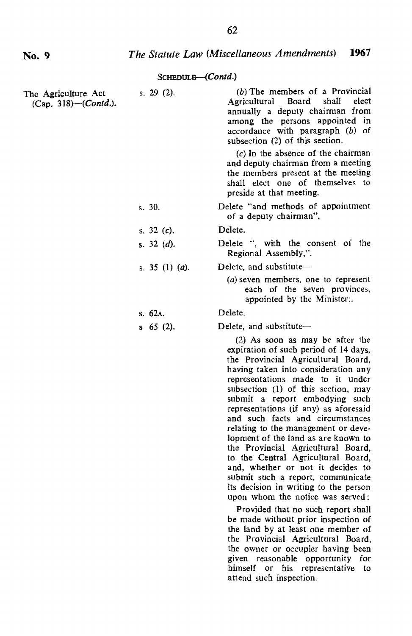| The Agriculture Act<br>(Cap. 318)–( <i>Contd.</i> ). | s. $29(2)$ .            | (b) The members of a Provincial<br>Agricultural<br>Board<br>shall<br>elect<br>annually a deputy chairman from<br>among the persons appointed in<br>accordance with paragraph (b) of<br>subsection (2) of this section.<br>$(c)$ In the absence of the chairman<br>and deputy chairman from a meeting<br>the members present at the meeting<br>shall elect one of themselves to<br>preside at that meeting.                                                                                                                                                                                                                                                                                                                                                                          |
|------------------------------------------------------|-------------------------|-------------------------------------------------------------------------------------------------------------------------------------------------------------------------------------------------------------------------------------------------------------------------------------------------------------------------------------------------------------------------------------------------------------------------------------------------------------------------------------------------------------------------------------------------------------------------------------------------------------------------------------------------------------------------------------------------------------------------------------------------------------------------------------|
|                                                      | s.30.                   | Delete "and methods of appointment<br>of a deputy chairman".                                                                                                                                                                                                                                                                                                                                                                                                                                                                                                                                                                                                                                                                                                                        |
|                                                      | s. $32(c)$ .            | Delete.                                                                                                                                                                                                                                                                                                                                                                                                                                                                                                                                                                                                                                                                                                                                                                             |
|                                                      | s. $32(d)$ .            | Delete ", with the consent of the<br>Regional Assembly,".                                                                                                                                                                                                                                                                                                                                                                                                                                                                                                                                                                                                                                                                                                                           |
|                                                      | s. 35 (1) ( <i>a</i> ). | Delete, and substitute-                                                                                                                                                                                                                                                                                                                                                                                                                                                                                                                                                                                                                                                                                                                                                             |
|                                                      |                         | (a) seven members, one to represent<br>each of the seven provinces,<br>appointed by the Minister;.                                                                                                                                                                                                                                                                                                                                                                                                                                                                                                                                                                                                                                                                                  |
|                                                      | s.62A.                  | Delete.                                                                                                                                                                                                                                                                                                                                                                                                                                                                                                                                                                                                                                                                                                                                                                             |
|                                                      | $s$ 65 (2).             | Delete, and substitute-                                                                                                                                                                                                                                                                                                                                                                                                                                                                                                                                                                                                                                                                                                                                                             |
|                                                      |                         | (2) As soon as may be after the<br>expiration of such period of 14 days,<br>the Provincial Agricultural Board,<br>having taken into consideration any<br>representations made to it under<br>subsection (1) of this section, may<br>submit a report embodying such<br>representations (if any) as aforesaid<br>and such facts and circumstances<br>relating to the management or deve-<br>lopment of the land as are known to<br>the Provincial Agricultural Board,<br>to the Central Agricultural Board,<br>and, whether or not it decides to<br>submit such a report, communicate<br>its decision in writing to the person<br>upon whom the notice was served:<br>Provided that no such report shall<br>be made without prior inspection of<br>the land by at least one member of |

the Provincial Agricultural Board, the owner or occupier having been given reasonable opportunity for himself or his representative to attend such inspection.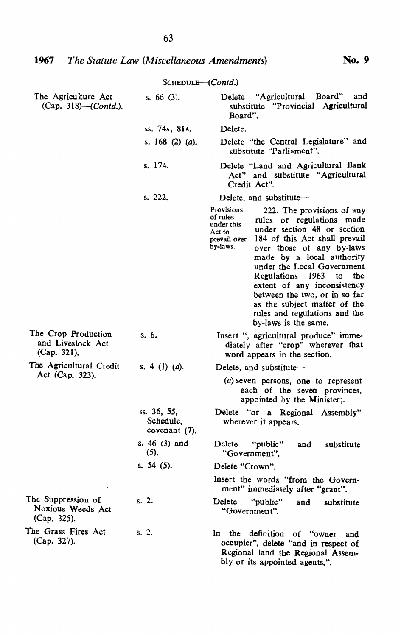|                                                         | SCHEDULE-(Contd.)                            |                                                                                                                                                                                                                                                                                                                                                                                                                                                                                         |
|---------------------------------------------------------|----------------------------------------------|-----------------------------------------------------------------------------------------------------------------------------------------------------------------------------------------------------------------------------------------------------------------------------------------------------------------------------------------------------------------------------------------------------------------------------------------------------------------------------------------|
| The Agriculture Act<br>(Cap. 318)–( <i>Contd.</i> ).    | s. $66(3)$ .                                 | Delete "Agricultural Board"<br>and<br>substitute "Provincial Agricultural<br>Board".                                                                                                                                                                                                                                                                                                                                                                                                    |
|                                                         | ss. 74a. 81a.                                | Delete.                                                                                                                                                                                                                                                                                                                                                                                                                                                                                 |
|                                                         | s. 168 (2) (a).                              | Delete "the Central Legislature" and<br>substitute "Parliament".                                                                                                                                                                                                                                                                                                                                                                                                                        |
|                                                         | s. 174.                                      | Delete "Land and Agricultural Bank<br>Act" and substitute "Agricultural<br>Credit Act".                                                                                                                                                                                                                                                                                                                                                                                                 |
|                                                         | s. 222.                                      | Delete, and substitute-                                                                                                                                                                                                                                                                                                                                                                                                                                                                 |
|                                                         |                                              | Provisions<br>222. The provisions of any<br>of rules<br>rules or regulations made<br>under this<br>under section 48 or section<br>Act to<br>184 of this Act shall prevail<br>prevail over<br>by-laws.<br>over those of any by-laws<br>made by a local authority<br>under the Local Government<br>Regulations 1963<br>to<br>the<br>extent of any inconsistency<br>between the two, or in so far<br>as the subject matter of the<br>rules and regulations and the<br>by-laws is the same. |
| The Crop Production<br>and Livestock Act<br>(Cap. 321). | s. 6.                                        | Insert ", agricultural produce" imme-<br>diately after "crop" wherever that<br>word appears in the section.                                                                                                                                                                                                                                                                                                                                                                             |
| The Agricultural Credit                                 | s. 4 (1) ( <i>a</i> ).                       | Delete, and substitute-                                                                                                                                                                                                                                                                                                                                                                                                                                                                 |
| Act (Cap. 323).                                         |                                              | (a) seven persons, one to represent<br>each of the seven provinces,<br>appointed by the Minister;.                                                                                                                                                                                                                                                                                                                                                                                      |
|                                                         | ss. 36, 55,<br>Schedule,<br>covenant $(7)$ . | Delete "or a Regional Assembly"<br>wherever it appears.                                                                                                                                                                                                                                                                                                                                                                                                                                 |
|                                                         | s. $46(3)$ and<br>$(5)$ ,                    | Delete<br>"public"<br>and<br>substitute<br>"Government".                                                                                                                                                                                                                                                                                                                                                                                                                                |
|                                                         | s. 54 (5).                                   | Delete "Crown".                                                                                                                                                                                                                                                                                                                                                                                                                                                                         |
|                                                         |                                              | Insert the words "from the Govern-<br>ment" immediately after "grant".                                                                                                                                                                                                                                                                                                                                                                                                                  |
| The Suppression of<br>Noxious Weeds Act<br>(Cap. 325).  | s, 2.                                        | Delete<br>"public"<br>and<br>substitute<br>"Government".                                                                                                                                                                                                                                                                                                                                                                                                                                |
| The Grass Fires Act<br>(Cap. 327).                      | s. 2.                                        | In the definition of "owner<br>and<br>occupier", delete "and in respect of<br>Regional land the Regional Assem-                                                                                                                                                                                                                                                                                                                                                                         |

bly or its appointed agents,".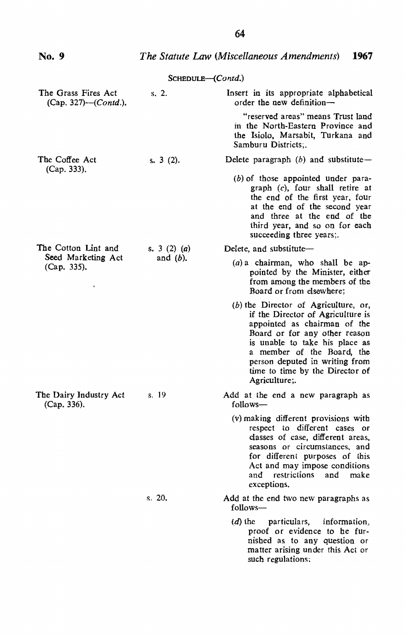| No. 9                                       |                         | The Statute Law (Miscellaneous Amendments)<br>1967                                                                                                                                                                                                                                                 |
|---------------------------------------------|-------------------------|----------------------------------------------------------------------------------------------------------------------------------------------------------------------------------------------------------------------------------------------------------------------------------------------------|
|                                             | $S$ CHEDULE $-(Contd.)$ |                                                                                                                                                                                                                                                                                                    |
| The Grass Fires Act<br>(Cap. 327)—(Contd.). | $s, 2$ .                | Insert in its appropriate alphabetical<br>order the new definition-                                                                                                                                                                                                                                |
|                                             |                         | "reserved areas" means Trust land<br>in the North-Eastern Province and<br>the Isiolo, Marsabit, Turkana and<br>Samburu Districts:.                                                                                                                                                                 |
| The Coffee Act<br>(Cap. 333).               | s. $3(2)$ .             | Delete paragraph $(b)$ and substitute-                                                                                                                                                                                                                                                             |
|                                             |                         | $(b)$ of those appointed under para-<br>graph $(c)$ , four shall retire at<br>the end of the first year, four<br>at the end of the second year<br>and three at the end of the<br>third year, and so on for each<br>succeeding three years;.                                                        |
| The Cotton Lint and                         | s. 3 (2) (a)            | Delete, and substitute-                                                                                                                                                                                                                                                                            |
| Seed Marketing Act<br>(Cap. 335).           | and $(b)$ .             | $(a)$ a chairman, who shall be ap-<br>pointed by the Minister, either<br>from among the members of the<br>Board or from elsewhere;                                                                                                                                                                 |
|                                             |                         | $(b)$ the Director of Agriculture, or,<br>if the Director of Agriculture is<br>appointed as chairman of the<br>Board or for any other reason<br>is unable to take his place as<br>a member of the Board, the<br>person deputed in writing from<br>time to time by the Director of<br>Agriculture;. |
| The Dairy Industry Act<br>(Cap. 336).       | s. 19                   | Add at the end a new paragraph as<br>follows-                                                                                                                                                                                                                                                      |
|                                             |                         | (v) making different provisions with<br>respect to different cases or<br>classes of case, different areas,<br>seasons or circumstances, and<br>for different purposes of this<br>Act and may impose conditions<br>and restrictions and<br>make<br>exceptions.                                      |
|                                             | s. 20.                  | Add at the end two new paragraphs as<br>follows-                                                                                                                                                                                                                                                   |
|                                             |                         | $(d)$ the particulars, information,<br>proof or evidence to he fur-<br>nished as to any question or<br>matter arising under this Act or<br>such regulations:                                                                                                                                       |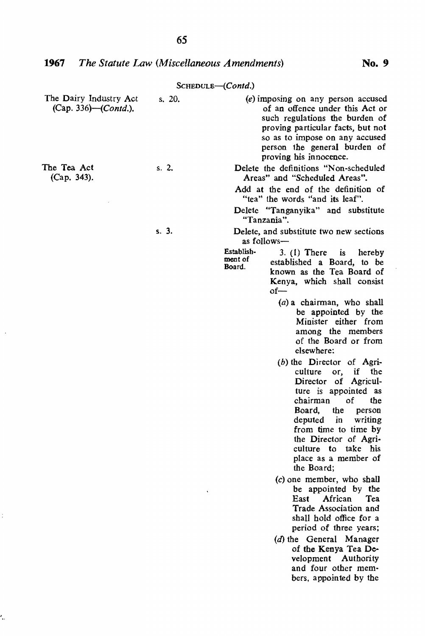| The Dairy Industry Act<br>(Cap. 336)-(Contd.). | s. 20. | (e) imposing on any person accused<br>of an offence under this Act or<br>such regulations the burden of<br>proving particular facts, but not<br>so as to impose on any accused<br>person the general burden of<br>proving his innocence.                                                           |
|------------------------------------------------|--------|----------------------------------------------------------------------------------------------------------------------------------------------------------------------------------------------------------------------------------------------------------------------------------------------------|
| The Tea Act<br>(Cap. 343).                     | s. 2.  | Delete the definitions "Non-scheduled<br>Areas" and "Scheduled Areas".                                                                                                                                                                                                                             |
|                                                |        | Add at the end of the definition of<br>"tea" the words "and its leaf".                                                                                                                                                                                                                             |
|                                                |        | Delete "Tanganyika" and substitute<br>"Tanzania".                                                                                                                                                                                                                                                  |
|                                                | s.3.   | Delete, and substitute two new sections<br>as follows-                                                                                                                                                                                                                                             |
|                                                |        | Establish-<br>$3. (1)$ There<br>is.<br>hereby<br>ment of<br>established a Board, to be<br>Board.<br>known as the Tea Board of<br>Kenya, which shall consist<br>of—                                                                                                                                 |
|                                                |        | $(a)$ a chairman, who shall<br>be appointed by the<br>Minister either from<br>among the members<br>of the Board or from<br>elsewhere:                                                                                                                                                              |
|                                                |        | $(b)$ the Director of Agri-<br>culture<br>or,<br>if the<br>Director of Agricul-<br>ture is appointed as<br>chairman<br>of<br>the<br>Board,<br>the<br>person<br>deputed in<br>writing<br>from time to time by<br>the Director of Agri-<br>culture to take his<br>place as a member of<br>the Board; |
|                                                |        | (c) one member, who shall<br>be appointed by the<br>African<br>East<br>Tea<br>Trade Association and<br>shall hold office for a<br>period of three years;                                                                                                                                           |
|                                                |        | (d) the General Manager<br>of the Kenya Tea De-<br>velopment Authority<br>and four other mem-<br>bers, appointed by the                                                                                                                                                                            |

 $\bar{z}$ 

 $\hat{\mathbb{F}}$ 

Ļ,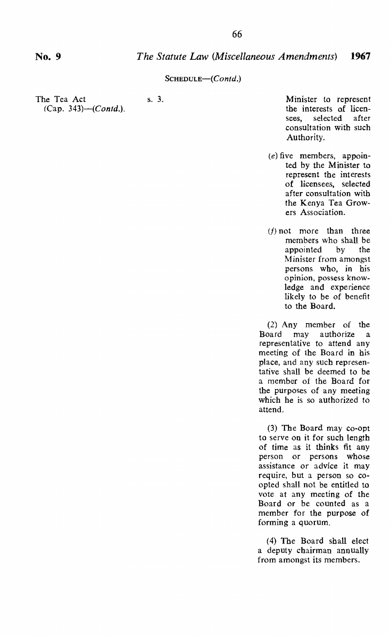### *The Statute Law (Miscellaneous Amendments)* **1967**

#### SCHEDULE-(Contd.)

The Tea Act  $(Cap. 343)$ — $(Cond.)$ .

s. 3. Minister to represent the interests of licen-<br>sees. selected after sees, selected consultation with such Authority.

- $(e)$  five members, appointed by the Minister to represent the interests of licensees, selected after consultation with the Kenya Tea Growers Association.
- $(f)$  not more than three members who shall be<br>appointed by the appointed Minister from amongst persons who, in his opinion, possess knowledge and experience likely to be of benefit to the Board.

(2) Any member of the Board may authorize a representative to attend any meeting of the Board in his place, and any such representative shall be deemed to be a member of the Board for the purposes of any meeting which he is so authorized to attend.

(3) The Board may co-opt to serve on it for such length of time as it thinks fit any person or persons whose assistance or advice it may require, but a person so coopted shall not be entitled to vote at any meeting of the Board or be counted as a member for the purpose of forming a quorum.

(4) The Board shall elect a deputy cbairman annually from amongst its members.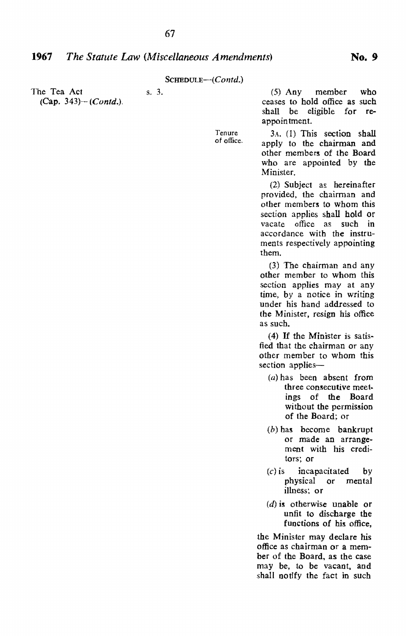Tenure of office.

The Tea Act  $(Cap. 343) - (Cond.)$ . s. 3.

(5) Any member who ceases to hold office as such shall be eligible for reappointment.

3A. (1) This section shall apply to the chairman and other members of the Board who are appointed by the Minister.

(2) Subject as hereinafter provided, the chairman and other members to whom this section applies shall hold or vacate office as such in accordance with the instruments respectively appointing them.

(3) The chairman and any other member to whom this section applies may at any time, by a notice in writing under his hand addressed to the Minister, resign his office as such.

 $(4)$  If the Minister is satisfied that the chairman or any other member to whom this section applies-

- (a) has been absent from three consecutive meetings of the Board without the permission of the Board: or
- (b) has become bankrupt or made an arrangement with his creditors; or
- $(c)$  is incapacitated by physical or mental illness: or
- $(d)$  is otherwise unable or unfit to discharge the fUnctions of his office,

the Minister may declare his office as chairman or a member of the Board, as the case may be, to be vacant, and shall notify the fact in such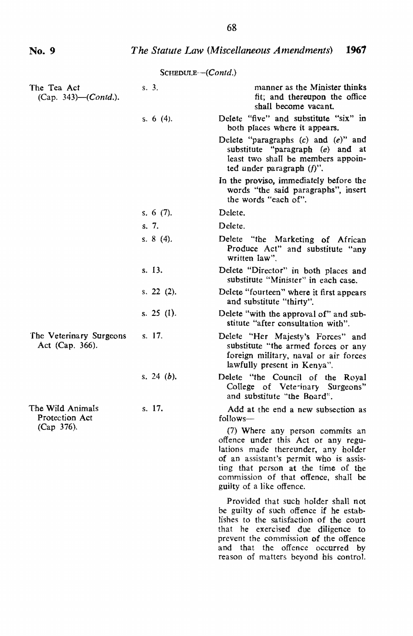prevent the commission of the offence and that the offence occurred by reason of matters beyond his control.

|                                              | SCHEDULE--(Contd.) |                                                                                                                                                                                                                                                                     |
|----------------------------------------------|--------------------|---------------------------------------------------------------------------------------------------------------------------------------------------------------------------------------------------------------------------------------------------------------------|
| The Tea Act<br>(Cap. 343)—( <i>Contd.</i> ). | s. 3.              | manner as the Minister thinks<br>fit; and thereupon the office<br>shall become vacant.                                                                                                                                                                              |
|                                              | s. 6 $(4)$ .       | Delete "five" and substitute "six" in<br>both places where it appears.                                                                                                                                                                                              |
|                                              |                    | Delete "paragraphs $(c)$ and $(e)$ " and<br>substitute "paragraph (e) and at<br>least two shall be members appoin-<br>ted under paragraph $(f)$ ".                                                                                                                  |
|                                              |                    | In the proviso, immediately before the<br>words "the said paragraphs", insert<br>the words "each of".                                                                                                                                                               |
|                                              | s. 6 $(7)$ .       | Delete.                                                                                                                                                                                                                                                             |
|                                              | s. 7.              | Delete.                                                                                                                                                                                                                                                             |
|                                              | s. 8 (4).          | Delete "the Marketing of African<br>Produce Act" and substitute "any<br>written law".                                                                                                                                                                               |
|                                              | s. 13.             | Delete "Director" in both places and<br>substitute "Minister" in each case.                                                                                                                                                                                         |
|                                              | s. $22$ (2).       | Delete "fourteen" where it first appears<br>and substitute "thirty".                                                                                                                                                                                                |
|                                              | s. 25 (1).         | Delete "with the approval of" and sub-<br>stitute "after consultation with".                                                                                                                                                                                        |
| The Veterinary Surgeons<br>Act (Cap. 366).   | s. 17.             | Delete "Her Majesty's Forces" and<br>substitute "the armed forces or any<br>foreign military, naval or air forces<br>lawfully present in Kenya".                                                                                                                    |
|                                              | s. 24 (b).         | Delete "the Council of the Royal<br>College of Veterinary Surgeons"<br>and substitute "the Board".                                                                                                                                                                  |
| The Wild Animals<br>Protection Act           | s. 17.             | Add at the end a new subsection as<br>follows-                                                                                                                                                                                                                      |
| (Cap 376).                                   |                    | (7) Where any person commits an<br>offence under this Act or any regu-<br>lations made thereunder, any holder<br>of an assistant's permit who is assis-<br>ting that person at the time of the<br>commission of that offence, shall be<br>guilty of a like offence. |
|                                              |                    | Provided that such holder shall not<br>be guilty of such offence if he estab-<br>lishes to the satisfaction of the court<br>that he exercised due diligence to                                                                                                      |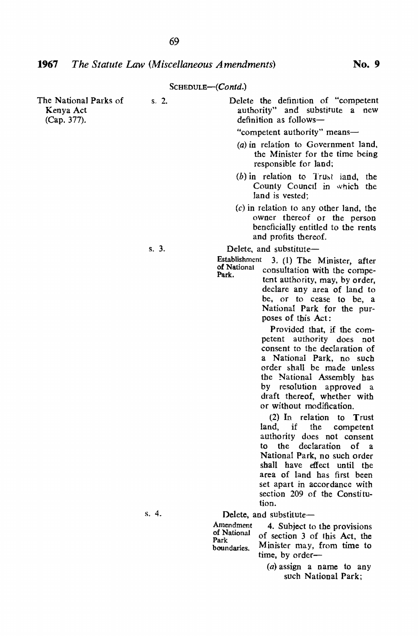|                                                   |       | www.                                                                                                                                                                                                                                                                                                             |
|---------------------------------------------------|-------|------------------------------------------------------------------------------------------------------------------------------------------------------------------------------------------------------------------------------------------------------------------------------------------------------------------|
| The National Parks of<br>Kenya Act<br>(Cap. 377). | s. 2. | Delete the definition of "competent"<br>authority" and substitute a<br>new<br>definition as follows-<br>"competent authority" means-<br>(a) in relation to Government land,<br>the Minister for the time being<br>responsible for land;                                                                          |
|                                                   |       | $(b)$ in relation to Trust land, the<br>County Council in which the<br>land is vested:                                                                                                                                                                                                                           |
|                                                   |       | $(c)$ in relation to any other land, the<br>owner thereof or the person<br>beneficially entitled to the rents<br>and profits thereof.                                                                                                                                                                            |
|                                                   | s. 3. | Delete, and substitute-                                                                                                                                                                                                                                                                                          |
|                                                   |       | Establishment<br>3. (1) The Minister, after<br>of National<br>consultation with the compe-<br>Park.<br>tent authority, may, by order,<br>declare any area of land to<br>be, or to cease to be, a<br>National Park for the pur-<br>poses of this Act:                                                             |
|                                                   |       | Provided that, if the com-<br>petent authority does not<br>consent to the declaration of<br>a National Park, no such<br>order shall be made unless<br>the National Assembly has<br>by resolution approved a<br>draft thereof, whether with<br>or without modification.<br>$(2)$ In relation to Trust<br>land, if |
|                                                   |       | the competent<br>authority does not consent<br>to the declaration of a<br>National Park, no such order<br>shall have effect until the<br>area of land has first been<br>set apart in accordance with<br>section 209 of the Constitu-<br>tion.                                                                    |
|                                                   | s.4.  | Delete, and substitute-                                                                                                                                                                                                                                                                                          |
|                                                   |       | Amendment<br>4. Subject to the provisions<br>of National<br>of section 3 of this Act, the<br>Park<br>Minister may, from time to<br>boundaries.<br>time, by order-                                                                                                                                                |

 $(a)$  assign a name to any such National Park;

69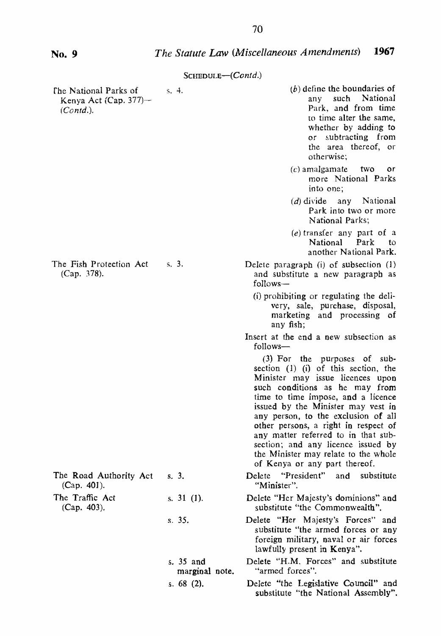| $S$ CHEDULE— $(Contd.)$ |  |
|-------------------------|--|
|-------------------------|--|

| The National Parks of<br>Kenya Act (Cap. $377$ )-<br>$(Contd.)$ . | s, 4.                       | $(b)$ define the boundaries of<br>National<br>any<br>such<br>Park, and from time<br>to time alter the same,<br>whether by adding to<br>or subtracting from<br>the area thereof, or<br>otherwise;                                                                                                                                                                                                                                                                  |
|-------------------------------------------------------------------|-----------------------------|-------------------------------------------------------------------------------------------------------------------------------------------------------------------------------------------------------------------------------------------------------------------------------------------------------------------------------------------------------------------------------------------------------------------------------------------------------------------|
|                                                                   |                             | $(c)$ amalgamate<br>two<br>٥r<br>more National Parks<br>into one:                                                                                                                                                                                                                                                                                                                                                                                                 |
|                                                                   |                             | $(d)$ divide<br>any National<br>Park into two or more<br>National Parks:                                                                                                                                                                                                                                                                                                                                                                                          |
|                                                                   |                             | $(e)$ transfer any part of a<br><b>National</b><br>Park<br>to<br>another National Park.                                                                                                                                                                                                                                                                                                                                                                           |
| The Fish Protection Act<br>(Cap. 378).                            | $s, 3$ .                    | Delete paragraph (i) of subsection (1)<br>and substitute a new paragraph as<br>follows-                                                                                                                                                                                                                                                                                                                                                                           |
|                                                                   |                             | (i) prohibiting or regulating the deli-<br>very, sale, purchase, disposal,<br>marketing and processing of<br>any fish:                                                                                                                                                                                                                                                                                                                                            |
|                                                                   |                             | Insert at the end a new subsection as<br>follows-                                                                                                                                                                                                                                                                                                                                                                                                                 |
|                                                                   |                             | $(3)$ For the purposes of sub-<br>section $(1)$ $(i)$ of this section, the<br>Minister may issue licences upon<br>such conditions as he may from<br>time to time impose, and a licence<br>issued by the Minister may vest in<br>any person, to the exclusion of all<br>other persons, a right in respect of<br>any matter referred to in that sub-<br>section; and any licence issued by<br>the Minister may relate to the whole<br>of Kenya or any part thereof. |
| The Road Authority Act<br>$(Cap. 401)$ .                          | s.3.                        | Delete "President" and substitute<br>"Minister".                                                                                                                                                                                                                                                                                                                                                                                                                  |
| The Traffic Act<br>(Cap. 403).                                    | s. $31$ (1).                | Delete "Her Majesty's dominions" and<br>substitute "the Commonwealth".                                                                                                                                                                                                                                                                                                                                                                                            |
|                                                                   | s. 35.                      | Delete "Her Majesty's Forces" and<br>substitute "the armed forces or any<br>foreign military, naval or air forces<br>lawfully present in Kenya".                                                                                                                                                                                                                                                                                                                  |
|                                                                   | s. 35 and<br>marginal note. | Delete "H.M. Forces" and substitute<br>"armed forces".                                                                                                                                                                                                                                                                                                                                                                                                            |
|                                                                   | s. $68(2)$ .                | Delete "the Legislative Council" and<br>substitute "the National Assembly".                                                                                                                                                                                                                                                                                                                                                                                       |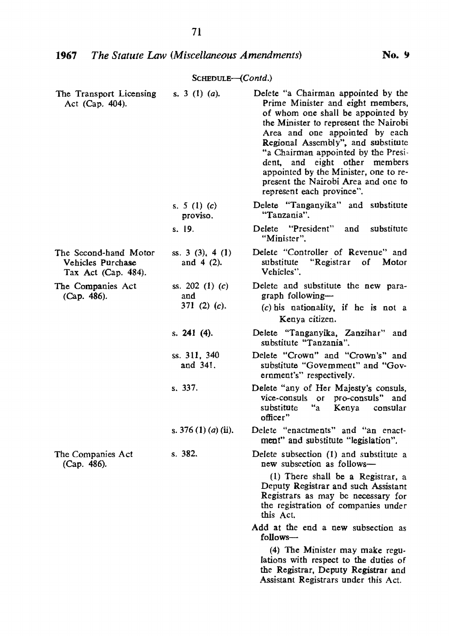| The Transport Licensing<br>Act (Cap. 404).                        | s. 3 (1) ( <i>a</i> ).                        | Delete "a Chairman appointed by the<br>Prime Minister and eight members,<br>of whom one shall be appointed by<br>the Minister to represent the Nairobi<br>Area and one appointed by each<br>Regional Assembly", and substitute<br>"a Chairman appointed by the Presi-<br>and eight other members<br>dent.<br>appointed by the Minister, one to re-<br>present the Nairobi Area and one to<br>represent each province". |
|-------------------------------------------------------------------|-----------------------------------------------|------------------------------------------------------------------------------------------------------------------------------------------------------------------------------------------------------------------------------------------------------------------------------------------------------------------------------------------------------------------------------------------------------------------------|
|                                                                   | s. 5 (1) (c)<br>proviso.                      | Delete "Tanganyika" and substitute<br>"Tanzania".                                                                                                                                                                                                                                                                                                                                                                      |
|                                                                   | s. 19.                                        | "President"<br>Delete<br>substitute<br>and<br>"Minister".                                                                                                                                                                                                                                                                                                                                                              |
| The Second-hand Motor<br>Vehicles Purchase<br>Tax Act (Cap. 484). | ss. 3 (3), 4 (1)<br>and $4(2)$ .              | Delete "Controller of Revenue" and<br>"Registrar<br>substitute<br>of<br>Motor<br>Vehicles".                                                                                                                                                                                                                                                                                                                            |
| The Companies Act<br>(Cap. 486).                                  | ss. 202 (1) $(c)$<br>and<br>371 $(2)$ $(c)$ . | Delete and substitute the new para-<br>graph following-<br>$(c)$ his nationality, if he is not a<br>Kenya citizen.                                                                                                                                                                                                                                                                                                     |
|                                                                   | s. 241 (4).                                   | Delete "Tanganyika, Zanzihar" and<br>substitute "Tanzania".                                                                                                                                                                                                                                                                                                                                                            |
|                                                                   | ss. 311, 340<br>and 341.                      | Delete "Crown" and "Crown's" and<br>substitute "Govemment" and "Gov-<br>ernment's" respectively.                                                                                                                                                                                                                                                                                                                       |
|                                                                   | s. 337.                                       | Delete "any of Her Majesty's consuls,<br>vice-consuls or pro-consuls" and<br>substitute<br>"a"<br>Kenya<br>consular<br>officer"                                                                                                                                                                                                                                                                                        |
|                                                                   | s. 376 (1) ( <i>a</i> ) (ii).                 | Delete "enactments" and "an enact-<br>ment" and substitute "legislation".                                                                                                                                                                                                                                                                                                                                              |
| The Companies Act<br>(Cap. 486).                                  | s. 382.                                       | Delete subsection (1) and substitute a<br>new subsection as follows-                                                                                                                                                                                                                                                                                                                                                   |
|                                                                   |                                               | $(1)$ There shall be a Registrar, a<br>Deputy Registrar and such Assistant<br>Registrars as may be necessary for<br>the registration of companies under<br>this Act.                                                                                                                                                                                                                                                   |
|                                                                   |                                               | Add at the end a new subsection as<br>follows-                                                                                                                                                                                                                                                                                                                                                                         |
|                                                                   |                                               | (4) The Minister may make regu-<br>lations with respect to the duties of<br>the Registrar, Deputy Registrar and<br>Assistant Registrars under this Act.                                                                                                                                                                                                                                                                |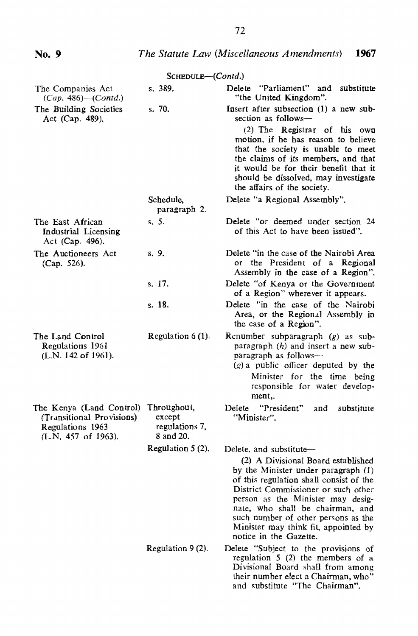### **No.9** *The Statute Law (Miscellaneous Amendments) 1967*

| The Companies Act                                                                                | s. 389.                                              | Delete "Parliament" and<br>substitute                                                                                                                                                                                                                                                                               |
|--------------------------------------------------------------------------------------------------|------------------------------------------------------|---------------------------------------------------------------------------------------------------------------------------------------------------------------------------------------------------------------------------------------------------------------------------------------------------------------------|
| $(Cap. 486)$ ( <i>Contd.</i> )                                                                   |                                                      | "the United Kingdom".                                                                                                                                                                                                                                                                                               |
| The Building Societies<br>Act (Cap. 489).                                                        | s. 70.                                               | Insert after subsection (1) a new sub-<br>section as follows-<br>(2) The Registrar of his own                                                                                                                                                                                                                       |
|                                                                                                  |                                                      | motion, if he has reason to believe<br>that the society is unable to meet<br>the claims of its members, and that<br>it would be for their benefit that it<br>should be dissolved, may investigate<br>the affairs of the society.                                                                                    |
|                                                                                                  | Schedule,<br>paragraph 2.                            | Delete "a Regional Assembly".                                                                                                                                                                                                                                                                                       |
| The East African<br>Industrial Licensing<br>Act (Cap. 496).                                      | s. 5.                                                | Delete "or deemed under section 24<br>of this Act to have been issued".                                                                                                                                                                                                                                             |
| The Auctioneers Act<br>(Cap. 526).                                                               | s. 9.                                                | Delete "in the case of the Nairobi Area<br>or the President of a Regional<br>Assembly in the case of a Region".                                                                                                                                                                                                     |
|                                                                                                  | s. 17.                                               | Delete "of Kenya or the Government<br>of a Region" wherever it appears.                                                                                                                                                                                                                                             |
|                                                                                                  | s. 18.                                               | Delete "in the case of the Nairobi<br>Area, or the Regional Assembly in<br>the case of a Region".                                                                                                                                                                                                                   |
| The Land Control<br>Regulations 1961<br>(L.N. 142 of 1961).                                      | Regulation $6(1)$ .                                  | Renumber subparagraph $(g)$ as sub-<br>paragraph $(h)$ and insert a new sub-<br>paragraph as follows-<br>$(g)$ a public officer deputed by the                                                                                                                                                                      |
|                                                                                                  |                                                      | Minister for the time being<br>responsible for water develop-<br>ment                                                                                                                                                                                                                                               |
| The Kenya (Land Control)<br>(Transitional Provisions)<br>Regulations 1963<br>(L.N. 457 of 1963). | Throughout,<br>except<br>regulations 7,<br>8 and 20. | "President"<br>Delete<br>and<br>substitute<br>"Minister".                                                                                                                                                                                                                                                           |
|                                                                                                  | Regulation $5(2)$ .                                  | Delete, and substitute-                                                                                                                                                                                                                                                                                             |
|                                                                                                  |                                                      | (2) A Divisional Board established<br>by the Minister under paragraph (1)<br>of this regulation shall consist of the<br>District Commissioner or such other<br>person as the Minister may desig-<br>nate, who shall be chairman, and<br>such number of other persons as the<br>Minister may think fit, appointed by |
|                                                                                                  |                                                      | notice in the Gazette.                                                                                                                                                                                                                                                                                              |
|                                                                                                  | Regulation $9(2)$ .                                  | Delete "Subject to the provisions of<br>regulation $5(2)$ the members of a<br>Divisional Board shall from among<br>their number elect a Chairman, who"<br>and substitute "The Chairman".                                                                                                                            |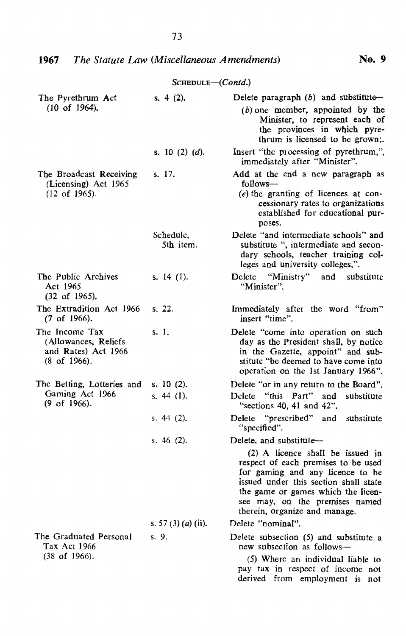| The Pyrethrum Act                                                                         | s. 4 (2).                    | Delete paragraph $(b)$ and substitute-                                                                                                                                                                                                                                                   |
|-------------------------------------------------------------------------------------------|------------------------------|------------------------------------------------------------------------------------------------------------------------------------------------------------------------------------------------------------------------------------------------------------------------------------------|
| $(10 \text{ of } 1964)$ .                                                                 |                              | $(b)$ one member, appointed by the<br>Minister, to represent each of<br>the provinces in which pyre-<br>thrum is licensed to be grown;.                                                                                                                                                  |
|                                                                                           | s. 10 (2) (d).               | Insert "the processing of pyrethrum,",<br>immediately after "Minister".                                                                                                                                                                                                                  |
| The Broadcast Receiving<br>(Licensing) Act 1965<br>$(12$ of $1965)$ .                     | s. 17.                       | Add at the end a new paragraph as<br>follows-<br>$(e)$ the granting of licences at con-                                                                                                                                                                                                  |
|                                                                                           |                              | cessionary rates to organizations<br>established for educational pur-<br>poses.                                                                                                                                                                                                          |
|                                                                                           | Schedule,<br>5th item.       | Delete "and intermediate schools" and<br>substitute ", intermediate and secon-<br>dary schools, teacher training col-<br>leges and university colleges,".                                                                                                                                |
| The Public Archives<br>Act 1965<br>$(32 \text{ of } 1965)$ .                              | s. $14$ (1).                 | "Ministry"<br>Delete<br>and<br>substitute<br>"Minister".                                                                                                                                                                                                                                 |
| The Extradition Act 1966<br>$(7$ of 1966).                                                | s. 22.                       | Immediately after the word "from"<br>insert "time".                                                                                                                                                                                                                                      |
| The Income Tax<br>(Allowances, Reliefs)<br>and Rates) Act 1966<br>$(8 \text{ of } 1966).$ | s. 1.                        | Delete "come into operation on such<br>day as the President shall, by notice<br>in the Gazette, appoint" and sub-<br>stitute "be deemed to have come into<br>operation on the 1st January 1966".                                                                                         |
| The Betting, Lotteries and                                                                | s. $10(2)$ .                 | Delete "or in any return to the Board".                                                                                                                                                                                                                                                  |
| Gaming Act 1966<br>(9 of 1966).                                                           | s. 44 (1).                   | "this Part"<br>Delete<br>and<br>substitute<br>"sections $40, 41$ and $42$ ".                                                                                                                                                                                                             |
|                                                                                           | s. $44(2)$ .                 | "prescribed" and substitute<br>Delete<br>"specified".                                                                                                                                                                                                                                    |
|                                                                                           | s. $46(2)$ .                 | Delete, and substitute-<br>(2) A licence shall be issued in<br>respect of each premises to be used<br>for gaming and any licence to be<br>issued under this section shall state<br>the game or games which the licen-<br>see may, on the premises named<br>therein, organize and manage. |
|                                                                                           | s. 57 (3) ( <i>a</i> ) (ii). | Delete "nominal".                                                                                                                                                                                                                                                                        |
| The Graduated Personal<br>Tax Act 1966<br>$(38$ of 1966).                                 | s. 9.                        | Delete subsection (5) and substitute a<br>new subsection as follows-<br>(5) Where an individual liable to                                                                                                                                                                                |
|                                                                                           |                              |                                                                                                                                                                                                                                                                                          |

pay tax in respect of income not derived from employment is not